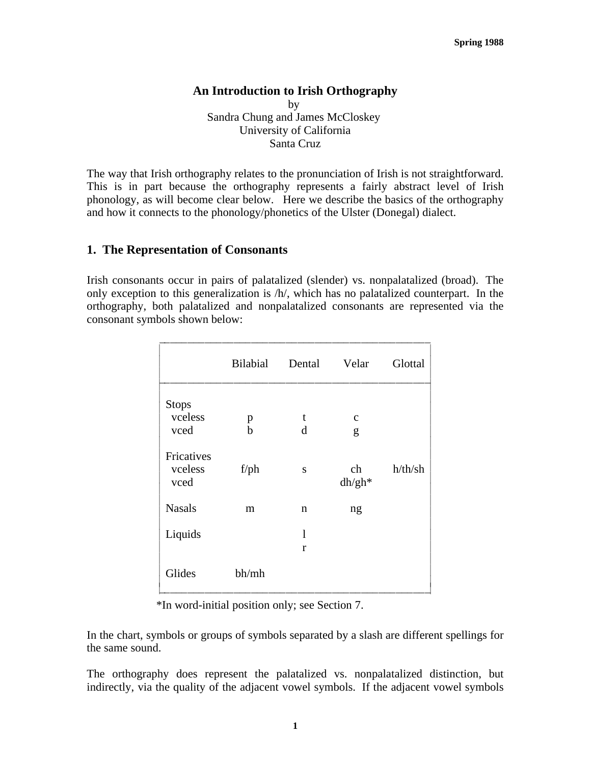#### **An Introduction to Irish Orthography**

by Sandra Chung and James McCloskey University of California Santa Cruz

The way that Irish orthography relates to the pronunciation of Irish is not straightforward. This is in part because the orthography represents a fairly abstract level of Irish phonology, as will become clear below. Here we describe the basics of the orthography and how it connects to the phonology/phonetics of the Ulster (Donegal) dialect.

#### **1. The Representation of Consonants**

Irish consonants occur in pairs of palatalized (slender) vs. nonpalatalized (broad). The only exception to this generalization is /h/, which has no palatalized counterpart. In the orthography, both palatalized and nonpalatalized consonants are represented via the consonant symbols shown below:

|                               | <b>Bilabial</b> | Dental | Velar          | Glottal |
|-------------------------------|-----------------|--------|----------------|---------|
| <b>Stops</b>                  |                 |        |                |         |
| vceless                       | p               | t      | $\mathbf c$    |         |
| vced                          | $\mathbf b$     | d      | g              |         |
| Fricatives<br>vceless<br>vced | $f$ /ph         | S      | ch<br>$dh/gh*$ | h/th/sh |
| <b>Nasals</b>                 | m               | n      | ng             |         |
| Liquids                       |                 | 1      |                |         |
|                               |                 | r      |                |         |
| Glides                        | bh/mh           |        |                |         |

\*In word-initial position only; see Section 7.

In the chart, symbols or groups of symbols separated by a slash are different spellings for the same sound.

The orthography does represent the palatalized vs. nonpalatalized distinction, but indirectly, via the quality of the adjacent vowel symbols. If the adjacent vowel symbols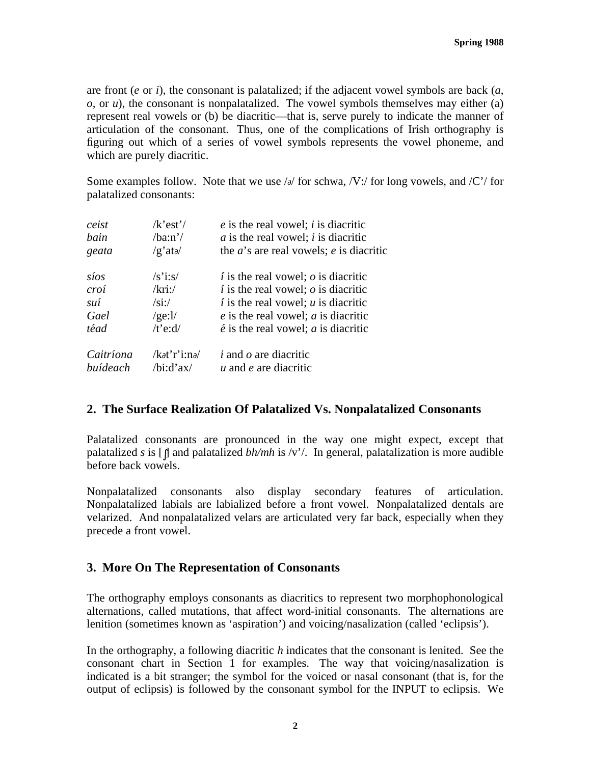are front (*e* or *i*), the consonant is palatalized; if the adjacent vowel symbols are back (*a*, *o*, or *u*), the consonant is nonpalatalized. The vowel symbols themselves may either (a) represent real vowels or (b) be diacritic—that is, serve purely to indicate the manner of articulation of the consonant. Thus, one of the complications of Irish orthography is figuring out which of a series of vowel symbols represents the vowel phoneme, and which are purely diacritic.

Some examples follow. Note that we use  $\frac{\partial}{\partial t}$  for schwa,  $\sqrt{V}$ : for long vowels, and  $\sqrt{C'}$  for palatalized consonants:

| $/k$ 'est'/                               | $e$ is the real vowel; i is diacritic                     |
|-------------------------------------------|-----------------------------------------------------------|
| /ba:n'                                    | $\alpha$ is the real vowel; i is diacritic                |
| $/g'$ at $\partial$                       | the $a$ 's are real vowels; e is diacritic                |
| $\sqrt{s}$ i:s/                           | $\ell$ is the real vowel; $\sigma$ is diacritic           |
| $/$ kri: $/$                              | $\vec{i}$ is the real vowel; $\vec{o}$ is diacritic       |
| $\sin/$                                   | $\vec{i}$ is the real vowel; $\vec{u}$ is diacritic       |
| /ge: $1/$                                 | $e$ is the real vowel; $a$ is diacritic                   |
| /t'e: $d/$                                | $\acute{e}$ is the real vowel; <i>a</i> is diacritic      |
| $\lambda$ at'r'i:n $\lambda$<br>/bi:d'ax/ | i and $\sigma$ are diacritic<br>$u$ and $e$ are diacritic |
|                                           |                                                           |

# **2. The Surface Realization Of Palatalized Vs. Nonpalatalized Consonants**

Palatalized consonants are pronounced in the way one might expect, except that palatalized *s* is [∫] and palatalized *bh/mh* is /v'/. In general, palatalization is more audible before back vowels.

Nonpalatalized consonants also display secondary features of articulation. Nonpalatalized labials are labialized before a front vowel. Nonpalatalized dentals are velarized. And nonpalatalized velars are articulated very far back, especially when they precede a front vowel.

# **3. More On The Representation of Consonants**

The orthography employs consonants as diacritics to represent two morphophonological alternations, called mutations, that affect word-initial consonants. The alternations are lenition (sometimes known as 'aspiration') and voicing/nasalization (called 'eclipsis').

In the orthography, a following diacritic *h* indicates that the consonant is lenited. See the consonant chart in Section 1 for examples. The way that voicing/nasalization is indicated is a bit stranger; the symbol for the voiced or nasal consonant (that is, for the output of eclipsis) is followed by the consonant symbol for the INPUT to eclipsis. We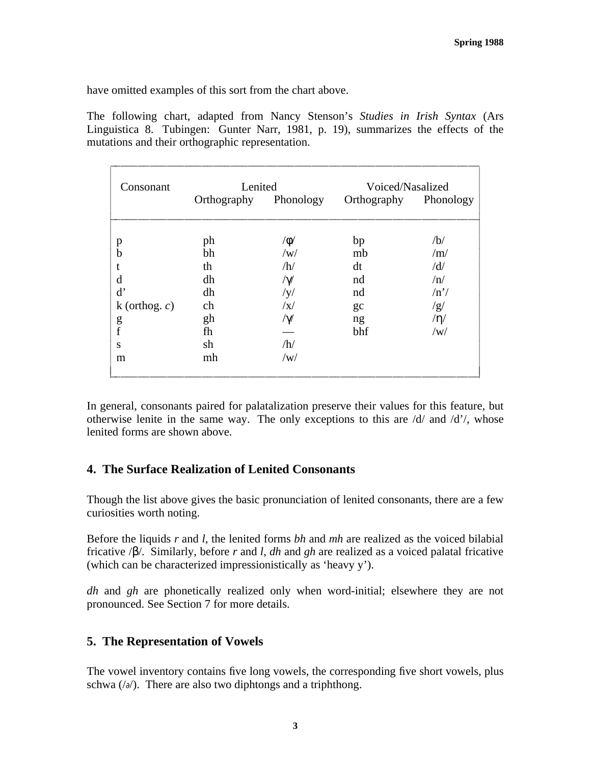have omitted examples of this sort from the chart above.

The following chart, adapted from Nancy Stenson's *Studies in Irish Syntax* (Ars Linguistica 8. Tubingen: Gunter Narr, 1981, p. 19), summarizes the effects of the mutations and their orthographic representation.

iiiiiiiiiiiiiiiiiiiiiiiiiiiiiiiiiiiiiiiiiiiiiiiiiiiiiiiiiiiiiiii

| Consonant        | Lenited     |            | Voiced/Nasalized |           |
|------------------|-------------|------------|------------------|-----------|
|                  | Orthography | Phonology  | Orthography      | Phonology |
|                  | ph          | $/\phi/$   | bp               | /b/       |
| p<br>b           | bh          | /w/        | mb               | /m/       |
|                  | th          | /h/        | dt               | /d/       |
| d                | dh          | $/\gamma/$ | nd               | /n/       |
| $\mathbf{d}'$    | dh          | /y/        | nd               | /n'       |
| k (orthog. $c$ ) | ch          | $\sqrt{x}$ | gc               | /g/       |
|                  | gh          | $/\gamma/$ | ng               | /n/       |
| g<br>f           | fh          |            | bhf              | /w/       |
| S                | sh          | /h/        |                  |           |
| m                | mh          | /w/        |                  |           |

In general, consonants paired for palatalization preserve their values for this feature, but otherwise lenite in the same way. The only exceptions to this are /d/ and /d'/, whose lenited forms are shown above.

# **4. The Surface Realization of Lenited Consonants**

Though the list above gives the basic pronunciation of lenited consonants, there are a few curiosities worth noting.

Before the liquids *r* and *l*, the lenited forms *bh* and *mh* are realized as the voiced bilabial fricative /β/. Similarly, before *r* and *l*, *dh* and *gh* are realized as a voiced palatal fricative (which can be characterized impressionistically as 'heavy y').

*dh* and *gh* are phonetically realized only when word-initial; elsewhere they are not pronounced. See Section 7 for more details.

# **5. The Representation of Vowels**

The vowel inventory contains five long vowels, the corresponding five short vowels, plus schwa (/∂/). There are also two diphtongs and a triphthong.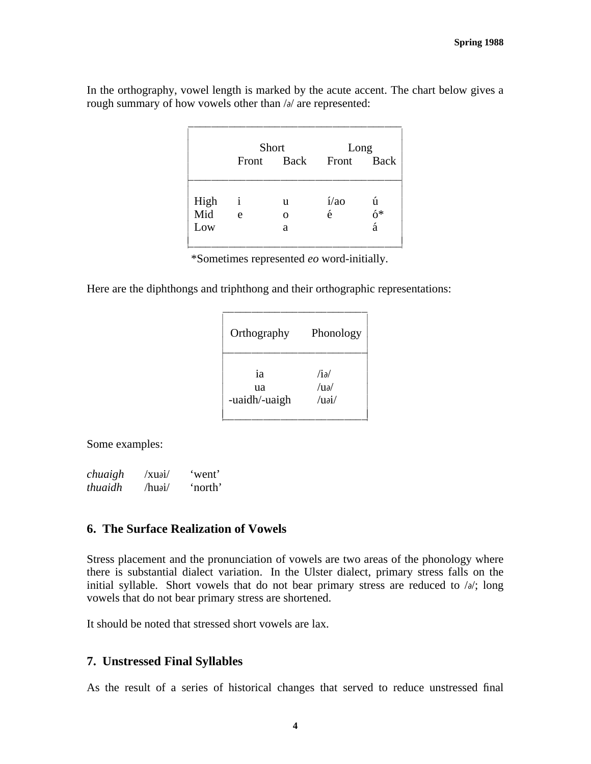In the orthography, vowel length is marked by the acute accent. The chart below gives a rough summary of how vowels other than /∂/ are represented:

|      | Short        |          | Long             |         |
|------|--------------|----------|------------------|---------|
|      |              |          | Front Back Front | Back    |
| High | $\mathbf{i}$ | u        | $1/a$ o          | ú       |
| Mid  | e            | $\Omega$ | é                | ó*<br>á |
| Low  |              | a        |                  |         |

\*Sometimes represented *eo* word-initially.

Here are the diphthongs and triphthong and their orthographic representations:

| Orthography   | Phonology      |
|---------------|----------------|
| ia            | /ia/           |
| ua            | $/11\partial/$ |
| -uaidh/-uaigh | $\alpha$ i/    |

iiiiiiiiiiiiiiiiiiiiiiiii

Some examples:

*chuaigh* /xu∂i/ 'went' *thuaidh* /hu∂i/ 'north'

#### **6. The Surface Realization of Vowels**

Stress placement and the pronunciation of vowels are two areas of the phonology where there is substantial dialect variation. In the Ulster dialect, primary stress falls on the initial syllable. Short vowels that do not bear primary stress are reduced to /∂/; long vowels that do not bear primary stress are shortened.

It should be noted that stressed short vowels are lax.

#### **7. Unstressed Final Syllables**

As the result of a series of historical changes that served to reduce unstressed final